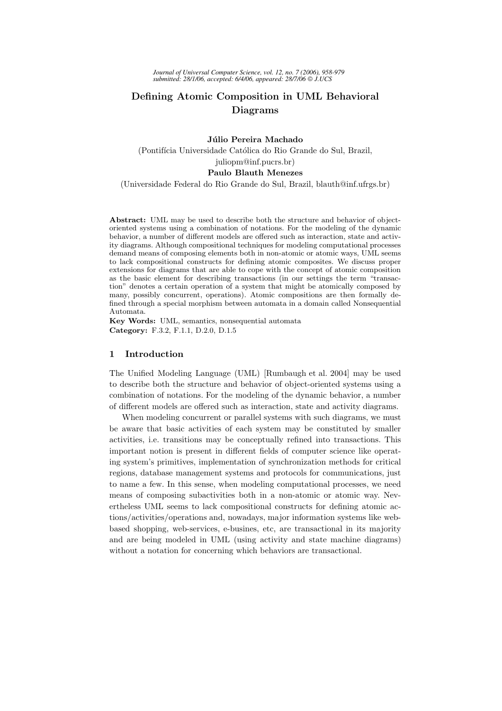# Defining Atomic Composition in UML Behavioral Diagrams

Júlio Pereira Machado (Pontifícia Universidade Católica do Rio Grande do Sul, Brazil, juliopm@inf.pucrs.br) Paulo Blauth Menezes

(Universidade Federal do Rio Grande do Sul, Brazil, blauth@inf.ufrgs.br)

Abstract: UML may be used to describe both the structure and behavior of objectoriented systems using a combination of notations. For the modeling of the dynamic behavior, a number of different models are offered such as interaction, state and activity diagrams. Although compositional techniques for modeling computational processes demand means of composing elements both in non-atomic or atomic ways, UML seems to lack compositional constructs for defining atomic composites. We discuss proper extensions for diagrams that are able to cope with the concept of atomic composition as the basic element for describing transactions (in our settings the term "transaction" denotes a certain operation of a system that might be atomically composed by many, possibly concurrent, operations). Atomic compositions are then formally defined through a special morphism between automata in a domain called Nonsequential Automata.

Key Words: UML, semantics, nonsequential automata Category: F.3.2, F.1.1, D.2.0, D.1.5

## 1 Introduction

The Unified Modeling Language (UML) [Rumbaugh et al. 2004] may be used to describe both the structure and behavior of object-oriented systems using a combination of notations. For the modeling of the dynamic behavior, a number of different models are offered such as interaction, state and activity diagrams.

When modeling concurrent or parallel systems with such diagrams, we must be aware that basic activities of each system may be constituted by smaller activities, i.e. transitions may be conceptually refined into transactions. This important notion is present in different fields of computer science like operating system's primitives, implementation of synchronization methods for critical regions, database management systems and protocols for communications, just to name a few. In this sense, when modeling computational processes, we need means of composing subactivities both in a non-atomic or atomic way. Nevertheless UML seems to lack compositional constructs for defining atomic actions/activities/operations and, nowadays, major information systems like webbased shopping, web-services, e-busines, etc, are transactional in its majority and are being modeled in UML (using activity and state machine diagrams) without a notation for concerning which behaviors are transactional.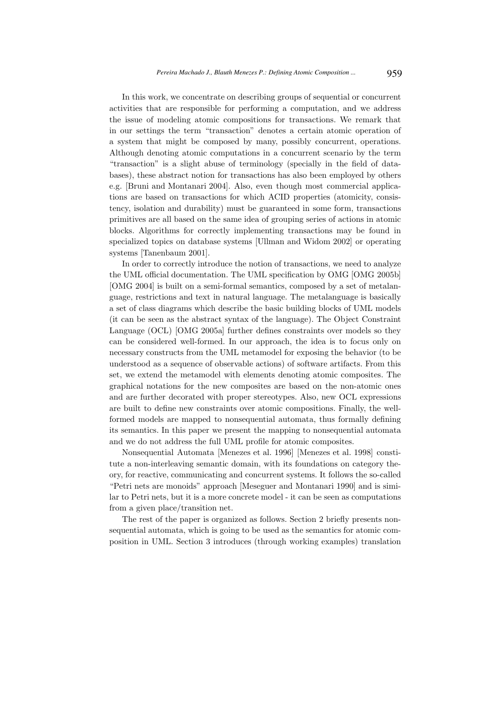In this work, we concentrate on describing groups of sequential or concurrent activities that are responsible for performing a computation, and we address the issue of modeling atomic compositions for transactions. We remark that in our settings the term "transaction" denotes a certain atomic operation of a system that might be composed by many, possibly concurrent, operations. Although denoting atomic computations in a concurrent scenario by the term "transaction" is a slight abuse of terminology (specially in the field of databases), these abstract notion for transactions has also been employed by others e.g. [Bruni and Montanari 2004]. Also, even though most commercial applications are based on transactions for which ACID properties (atomicity, consistency, isolation and durability) must be guaranteed in some form, transactions primitives are all based on the same idea of grouping series of actions in atomic blocks. Algorithms for correctly implementing transactions may be found in specialized topics on database systems [Ullman and Widom 2002] or operating systems [Tanenbaum 2001].

In order to correctly introduce the notion of transactions, we need to analyze the UML official documentation. The UML specification by OMG [OMG 2005b] [OMG 2004] is built on a semi-formal semantics, composed by a set of metalanguage, restrictions and text in natural language. The metalanguage is basically a set of class diagrams which describe the basic building blocks of UML models (it can be seen as the abstract syntax of the language). The Object Constraint Language (OCL) [OMG 2005a] further defines constraints over models so they can be considered well-formed. In our approach, the idea is to focus only on necessary constructs from the UML metamodel for exposing the behavior (to be understood as a sequence of observable actions) of software artifacts. From this set, we extend the metamodel with elements denoting atomic composites. The graphical notations for the new composites are based on the non-atomic ones and are further decorated with proper stereotypes. Also, new OCL expressions are built to define new constraints over atomic compositions. Finally, the wellformed models are mapped to nonsequential automata, thus formally defining its semantics. In this paper we present the mapping to nonsequential automata and we do not address the full UML profile for atomic composites.

Nonsequential Automata [Menezes et al. 1996] [Menezes et al. 1998] constitute a non-interleaving semantic domain, with its foundations on category theory, for reactive, communicating and concurrent systems. It follows the so-called "Petri nets are monoids" approach [Meseguer and Montanari 1990] and is similar to Petri nets, but it is a more concrete model - it can be seen as computations from a given place/transition net.

The rest of the paper is organized as follows. Section 2 briefly presents nonsequential automata, which is going to be used as the semantics for atomic composition in UML. Section 3 introduces (through working examples) translation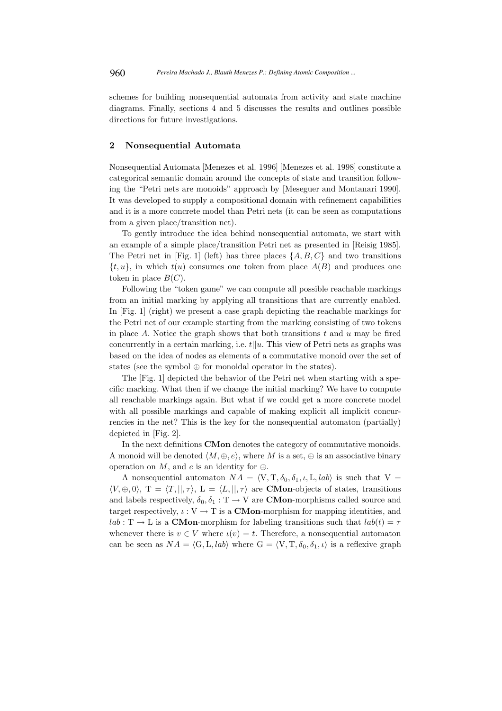schemes for building nonsequential automata from activity and state machine diagrams. Finally, sections 4 and 5 discusses the results and outlines possible directions for future investigations.

## 2 Nonsequential Automata

Nonsequential Automata [Menezes et al. 1996] [Menezes et al. 1998] constitute a categorical semantic domain around the concepts of state and transition following the "Petri nets are monoids" approach by [Meseguer and Montanari 1990]. It was developed to supply a compositional domain with refinement capabilities and it is a more concrete model than Petri nets (it can be seen as computations from a given place/transition net).

To gently introduce the idea behind nonsequential automata, we start with an example of a simple place/transition Petri net as presented in [Reisig 1985]. The Petri net in [Fig. 1] (left) has three places  $\{A, B, C\}$  and two transitions  $\{t, u\}$ , in which  $t(u)$  consumes one token from place  $A(B)$  and produces one token in place  $B(C)$ .

Following the "token game" we can compute all possible reachable markings from an initial marking by applying all transitions that are currently enabled. In [Fig. 1] (right) we present a case graph depicting the reachable markings for the Petri net of our example starting from the marking consisting of two tokens in place A. Notice the graph shows that both transitions  $t$  and  $u$  may be fired concurrently in a certain marking, i.e.  $t||u$ . This view of Petri nets as graphs was based on the idea of nodes as elements of a commutative monoid over the set of states (see the symbol  $\oplus$  for monoidal operator in the states).

The [Fig. 1] depicted the behavior of the Petri net when starting with a specific marking. What then if we change the initial marking? We have to compute all reachable markings again. But what if we could get a more concrete model with all possible markings and capable of making explicit all implicit concurrencies in the net? This is the key for the nonsequential automaton (partially) depicted in [Fig. 2].

In the next definitions CMon denotes the category of commutative monoids. A monoid will be denoted  $\langle M, \oplus, e \rangle$ , where M is a set,  $\oplus$  is an associative binary operation on M, and e is an identity for  $\oplus$ .

A nonsequential automaton  $NA = \langle V, T, \delta_0, \delta_1, \iota, L, lab \rangle$  is such that  $V =$  $\langle V, \oplus, 0 \rangle$ , T =  $\langle T, ||, \tau \rangle$ , L =  $\langle L, ||, \tau \rangle$  are **CMon**-objects of states, transitions and labels respectively,  $\delta_0, \delta_1 : T \to V$  are **CMon**-morphisms called source and target respectively,  $\iota: V \to T$  is a **CMon**-morphism for mapping identities, and  $lab: T \rightarrow L$  is a **CMon-**morphism for labeling transitions such that  $lab(t) = \tau$ whenever there is  $v \in V$  where  $\iota(v) = t$ . Therefore, a nonsequential automaton can be seen as  $NA = \langle G, L, lab \rangle$  where  $G = \langle V, T, \delta_0, \delta_1, \iota \rangle$  is a reflexive graph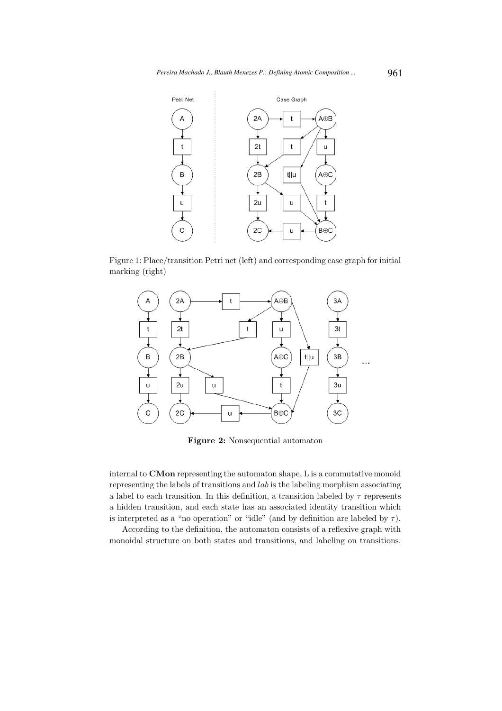

Figure 1: Place/transition Petri net (left) and corresponding case graph for initial marking (right)



Figure 2: Nonsequential automaton

internal to CMon representing the automaton shape, L is a commutative monoid representing the labels of transitions and lab is the labeling morphism associating a label to each transition. In this definition, a transition labeled by  $\tau$  represents a hidden transition, and each state has an associated identity transition which is interpreted as a "no operation" or "idle" (and by definition are labeled by  $\tau$ ).

According to the definition, the automaton consists of a reflexive graph with monoidal structure on both states and transitions, and labeling on transitions.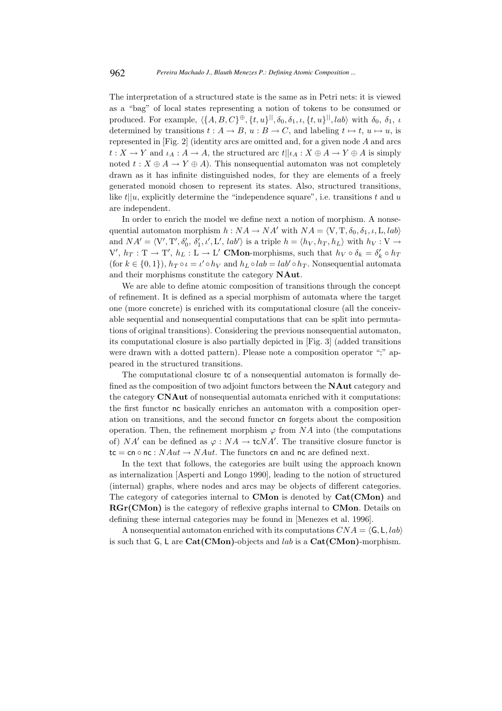The interpretation of a structured state is the same as in Petri nets: it is viewed as a "bag" of local states representing a notion of tokens to be consumed or produced. For example,  $\langle \{A, B, C\}^{\oplus}, \{t, u\}^{\parallel}, \delta_0, \delta_1, \iota, \{t, u\}^{\parallel}, lab \rangle$  with  $\delta_0, \delta_1, \iota$ determined by transitions  $t : A \to B$ ,  $u : B \to C$ , and labeling  $t \mapsto t$ ,  $u \mapsto u$ , is represented in [Fig. 2] (identity arcs are omitted and, for a given node A and arcs  $t: X \to Y$  and  $\iota_A: A \to A$ , the structured arc  $t||\iota_A: X \oplus A \to Y \oplus A$  is simply noted  $t : X \oplus A \to Y \oplus A$ . This nonsequential automaton was not completely drawn as it has infinite distinguished nodes, for they are elements of a freely generated monoid chosen to represent its states. Also, structured transitions, like  $t||u$ , explicitly determine the "independence square", i.e. transitions t and u are independent.

In order to enrich the model we define next a notion of morphism. A nonsequential automaton morphism  $h : NA \rightarrow NA'$  with  $NA = \langle V, T, \delta_0, \delta_1, \iota, L, lab \rangle$ and  $NA' = \langle V', T', \delta'_0, \delta'_1, \iota', L', \, lab' \rangle$  is a triple  $h = \langle h_V, h_T, h_L \rangle$  with  $h_V : V \rightarrow$  $V', h_T : T \to T', h_L : L \to L'$  CMon-morphisms, such that  $h_V \circ \delta_k = \delta'_k \circ h_T$ (for  $k \in \{0, 1\}$ ),  $h_T \circ \iota = \iota' \circ h_V$  and  $h_L \circ lab = lab' \circ h_T$ . Nonsequential automata and their morphisms constitute the category NAut.

We are able to define atomic composition of transitions through the concept of refinement. It is defined as a special morphism of automata where the target one (more concrete) is enriched with its computational closure (all the conceivable sequential and nonsequential computations that can be split into permutations of original transitions). Considering the previous nonsequential automaton, its computational closure is also partially depicted in [Fig. 3] (added transitions were drawn with a dotted pattern). Please note a composition operator ";" appeared in the structured transitions.

The computational closure tc of a nonsequential automaton is formally defined as the composition of two adjoint functors between the NAut category and the category CNAut of nonsequential automata enriched with it computations: the first functor nc basically enriches an automaton with a composition operation on transitions, and the second functor cn forgets about the composition operation. Then, the refinement morphism  $\varphi$  from NA into (the computations of) NA' can be defined as  $\varphi : NA \to \mathbf{t}cNA'$ . The transitive closure functor is tc = cn ∘ nc :  $NAut \rightarrow NAut$ . The functors cn and nc are defined next.

In the text that follows, the categories are built using the approach known as internalization [Asperti and Longo 1990], leading to the notion of structured (internal) graphs, where nodes and arcs may be objects of different categories. The category of categories internal to CMon is denoted by Cat(CMon) and RGr(CMon) is the category of reflexive graphs internal to CMon. Details on defining these internal categories may be found in [Menezes et al. 1996].

A nonsequential automaton enriched with its computations  $CNA = \langle \mathsf{G}, \mathsf{L}, \mathsf{lab} \rangle$ is such that  $G$ , L are Cat(CMon)-objects and *lab* is a Cat(CMon)-morphism.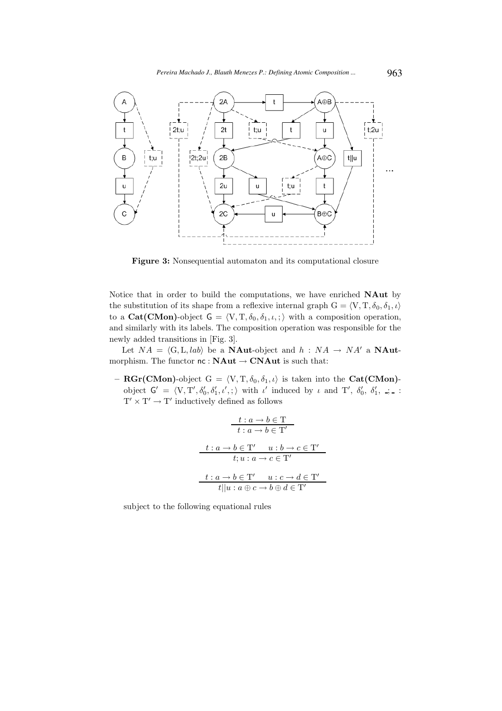

Figure 3: Nonsequential automaton and its computational closure

Notice that in order to build the computations, we have enriched NAut by the substitution of its shape from a reflexive internal graph  $G = \langle V, T, \delta_0, \delta_1, \iota \rangle$ to a Cat(CMon)-object  $G = \langle V, T, \delta_0, \delta_1, \iota, \cdot \rangle$  with a composition operation, and similarly with its labels. The composition operation was responsible for the newly added transitions in [Fig. 3].

Let  $NA = \langle G, L, lab \rangle$  be a **NAut-object** and  $h : NA \rightarrow NA'$  a **NAut**morphism. The functor  $\mathsf{nc} : \mathbf{NAut} \to \mathbf{CNAut}$  is such that:

– RGr(CMon)-object G =  $\langle V, T, \delta_0, \delta_1, \iota \rangle$  is taken into the Cat(CMon)object  $G' = \langle V, T', \delta'_0, \delta'_1, \iota', \cdot \rangle$  with  $\iota'$  induced by  $\iota$  and  $T', \delta'_0, \delta'_1, \iota, \cdot \rangle$ .  $T' \times T' \rightarrow T'$  inductively defined as follows

$$
\begin{array}{c}\n t: a \rightarrow b \in \mathcal{T} \\
t: a \rightarrow b \in \mathcal{T}'\n \end{array}
$$
\n
$$
t: a \rightarrow b \in \mathcal{T}'
$$
\n
$$
t: a \rightarrow c \in \mathcal{T}'
$$
\n
$$
t: a \rightarrow c \in \mathcal{T}'
$$
\n
$$
t: a \rightarrow b \in \mathcal{T}'
$$
\n
$$
u: c \rightarrow d \in \mathcal{T}'
$$
\n
$$
t || u: a \oplus c \rightarrow b \oplus d \in \mathcal{T}'
$$

subject to the following equational rules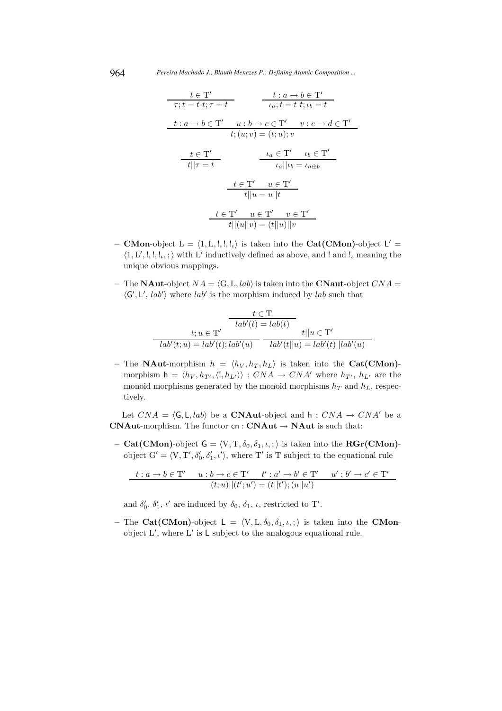964 *Pereira Machado J., Blauth Menezes P.: Defining Atomic Composition ...*

$$
\frac{t \in \mathcal{T}'}{\tau; t = t \ t; \tau = t} \qquad \frac{t : a \to b \in \mathcal{T}'}{\iota_a; t = t \ t; \iota_b = t}
$$
\n
$$
\frac{t : a \to b \in \mathcal{T}'}{t; (u; v) = (t; u); v}
$$
\n
$$
\frac{t \in \mathcal{T}'}{t!|\tau = t} \qquad \frac{\iota_a \in \mathcal{T}' \qquad \iota_b \in \mathcal{T}'}{\iota_a||\iota_b = \iota_{a \oplus b}}
$$
\n
$$
\frac{t \in \mathcal{T}' \qquad u \in \mathcal{T}'}{t||u = u||t}
$$
\n
$$
\frac{t \in \mathcal{T}' \qquad u \in \mathcal{T}' \qquad v \in \mathcal{T}'}{t||(u||v) = (t||u)||v}
$$

- CMon-object  $L = \langle 1, L, !, !, ! \rangle$  is taken into the Cat(CMon)-object  $L' =$  $\langle 1, L',!,!,!,\rangle$  with L' inductively defined as above, and ! and !<sub>i</sub> meaning the unique obvious mappings.
- The **NAut**-object  $NA = \langle G, L, \overline{lab} \rangle$  is taken into the **CNaut**-object  $CNA =$  $\langle G', L', lab' \rangle$  where lab' is the morphism induced by lab such that

$$
\frac{t \in \mathcal{T}}{lab'(t) = lab(t)}
$$

$$
\frac{t; u \in \mathcal{T'}}{lab'(t; u) = lab'(t); lab'(u)} \frac{t||u \in \mathcal{T'}}{lab'(t||u) = lab'(t)||lab'(u)}
$$

– The **NAut**-morphism  $h = \langle h_V, h_T, h_L \rangle$  is taken into the Cat(CMon)morphism  $h = \langle h_V, h_{T'}, \langle l, h_{L'} \rangle \rangle : CNA \rightarrow CNA'$  where  $h_{T'}, h_{L'}$  are the monoid morphisms generated by the monoid morphisms  $h_T$  and  $h_L$ , respectively.

Let  $CNA = \langle G, L, lab \rangle$  be a **CNAut-**object and h :  $CNA \rightarrow CNA'$  be a CNAut-morphism. The functor  $cn: CNAut \rightarrow NAut$  is such that:

– Cat(CMon)-object  $G = \langle V, T, \delta_0, \delta_1, \iota, \cdot \rangle$  is taken into the **RGr(CMon)**object  $G' = \langle V, T', \delta'_0, \delta'_1, \iota' \rangle$ , where T' is T subject to the equational rule

$$
t: a \to b \in T' \qquad u: b \to c \in T' \qquad t': a' \to b' \in T' \qquad u': b' \to c' \in T'
$$

$$
(t; u) ||(t'; u') = (t||t'); (u||u')
$$

and  $\delta'_0$ ,  $\delta'_1$ ,  $\iota'$  are induced by  $\delta_0$ ,  $\delta_1$ ,  $\iota$ , restricted to T'.

– The Cat(CMon)-object  $L = \langle V, L, \delta_0, \delta_1, \iota, \cdot \rangle$  is taken into the CMonobject  $L'$ , where  $L'$  is  $L$  subject to the analogous equational rule.

 $\overline{a}$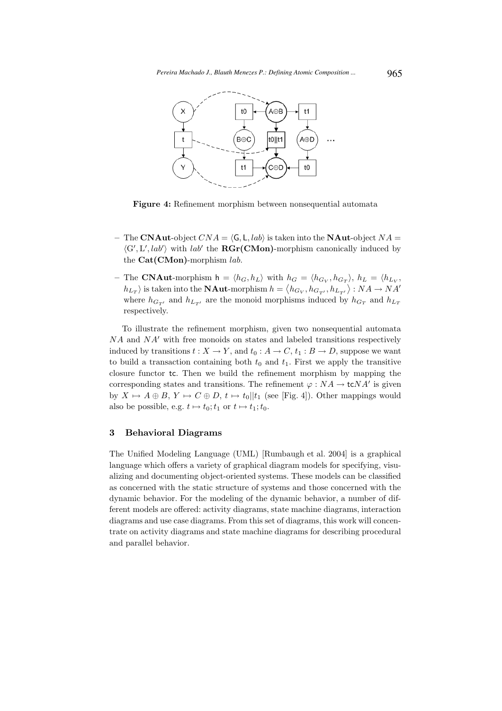

Figure 4: Refinement morphism between nonsequential automata

- The CNAut-object  $CNA = \langle G, L, lab \rangle$  is taken into the NAut-object  $NA =$  $\langle G', L', lab' \rangle$  with lab' the **RGr(CMon)**-morphism canonically induced by the  $Cat(CMon)$ -morphism lab.
- The CNAut-morphism  $h = \langle h_G, h_L \rangle$  with  $h_G = \langle h_{G_V}, h_{G_T} \rangle$ ,  $h_L = \langle h_{L_V}, h_{L_V} \rangle$  $|h_{L_T}\rangle$  is taken into the **NAut**-morphism  $h = \langle h_{G_V}, h_{G_{T'}}, h_{L_{T'}} \rangle : NA \to NA'$ where  $h_{G_{T'}}$  and  $h_{L_{T'}}$  are the monoid morphisms induced by  $h_{G_T}$  and  $h_{L_T}$ respectively.

To illustrate the refinement morphism, given two nonsequential automata  $NA$  and  $NA'$  with free monoids on states and labeled transitions respectively induced by transitions  $t : X \to Y$ , and  $t_0 : A \to C$ ,  $t_1 : B \to D$ , suppose we want to build a transaction containing both  $t_0$  and  $t_1$ . First we apply the transitive closure functor tc. Then we build the refinement morphism by mapping the corresponding states and transitions. The refinement  $\varphi : NA \to \text{tc}NA'$  is given by  $X \mapsto A \oplus B$ ,  $Y \mapsto C \oplus D$ ,  $t \mapsto t_0||t_1$  (see [Fig. 4]). Other mappings would also be possible, e.g.  $t \mapsto t_0; t_1$  or  $t \mapsto t_1; t_0$ .

#### 3 Behavioral Diagrams

The Unified Modeling Language (UML) [Rumbaugh et al. 2004] is a graphical language which offers a variety of graphical diagram models for specifying, visualizing and documenting object-oriented systems. These models can be classified as concerned with the static structure of systems and those concerned with the dynamic behavior. For the modeling of the dynamic behavior, a number of different models are offered: activity diagrams, state machine diagrams, interaction diagrams and use case diagrams. From this set of diagrams, this work will concentrate on activity diagrams and state machine diagrams for describing procedural and parallel behavior.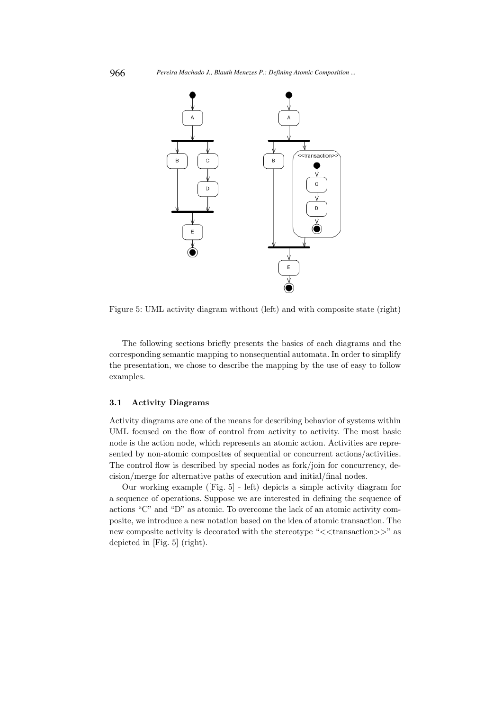

Figure 5: UML activity diagram without (left) and with composite state (right)

The following sections briefly presents the basics of each diagrams and the corresponding semantic mapping to nonsequential automata. In order to simplify the presentation, we chose to describe the mapping by the use of easy to follow examples.

## 3.1 Activity Diagrams

Activity diagrams are one of the means for describing behavior of systems within UML focused on the flow of control from activity to activity. The most basic node is the action node, which represents an atomic action. Activities are represented by non-atomic composites of sequential or concurrent actions/activities. The control flow is described by special nodes as fork/join for concurrency, decision/merge for alternative paths of execution and initial/final nodes.

Our working example ([Fig. 5] - left) depicts a simple activity diagram for a sequence of operations. Suppose we are interested in defining the sequence of actions "C" and "D" as atomic. To overcome the lack of an atomic activity composite, we introduce a new notation based on the idea of atomic transaction. The new composite activity is decorated with the stereotype " $\lt$ transaction $\gt>$ " as depicted in [Fig. 5] (right).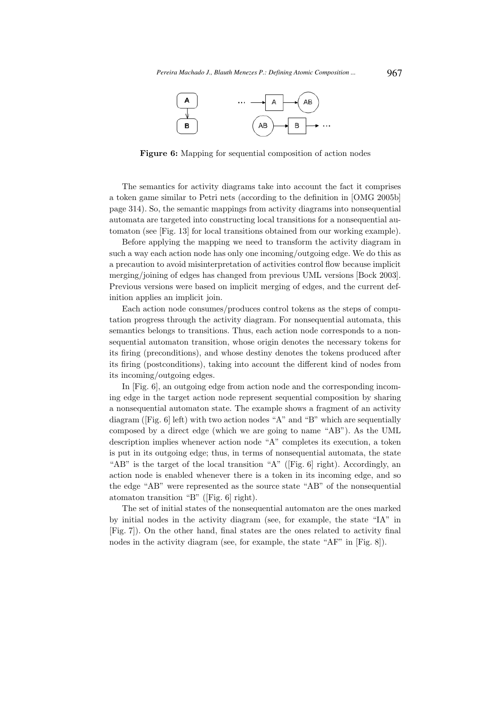

Figure 6: Mapping for sequential composition of action nodes

The semantics for activity diagrams take into account the fact it comprises a token game similar to Petri nets (according to the definition in [OMG 2005b] page 314). So, the semantic mappings from activity diagrams into nonsequential automata are targeted into constructing local transitions for a nonsequential automaton (see [Fig. 13] for local transitions obtained from our working example).

Before applying the mapping we need to transform the activity diagram in such a way each action node has only one incoming/outgoing edge. We do this as a precaution to avoid misinterpretation of activities control flow because implicit merging/joining of edges has changed from previous UML versions [Bock 2003]. Previous versions were based on implicit merging of edges, and the current definition applies an implicit join.

Each action node consumes/produces control tokens as the steps of computation progress through the activity diagram. For nonsequential automata, this semantics belongs to transitions. Thus, each action node corresponds to a nonsequential automaton transition, whose origin denotes the necessary tokens for its firing (preconditions), and whose destiny denotes the tokens produced after its firing (postconditions), taking into account the different kind of nodes from its incoming/outgoing edges.

In [Fig. 6], an outgoing edge from action node and the corresponding incoming edge in the target action node represent sequential composition by sharing a nonsequential automaton state. The example shows a fragment of an activity diagram ([Fig. 6] left) with two action nodes "A" and "B" which are sequentially composed by a direct edge (which we are going to name "AB"). As the UML description implies whenever action node "A" completes its execution, a token is put in its outgoing edge; thus, in terms of nonsequential automata, the state "AB" is the target of the local transition "A" ([Fig. 6] right). Accordingly, an action node is enabled whenever there is a token in its incoming edge, and so the edge "AB" were represented as the source state "AB" of the nonsequential atomaton transition "B" ([Fig. 6] right).

The set of initial states of the nonsequential automaton are the ones marked by initial nodes in the activity diagram (see, for example, the state "IA" in [Fig. 7]). On the other hand, final states are the ones related to activity final nodes in the activity diagram (see, for example, the state "AF" in [Fig. 8]).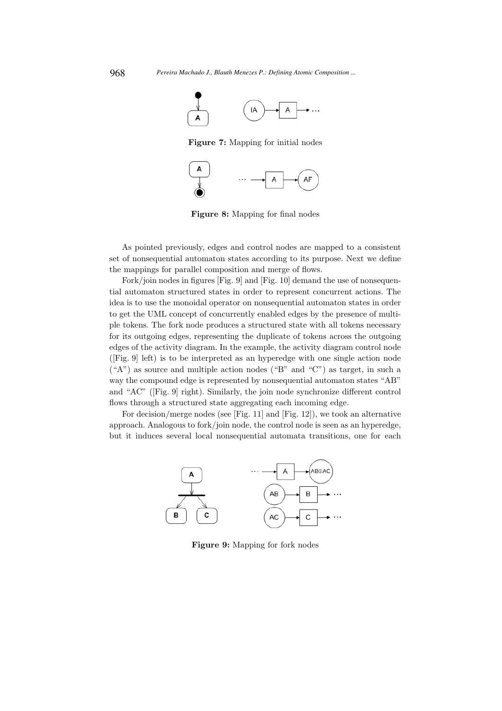

Figure 7: Mapping for initial nodes



Figure 8: Mapping for final nodes

As pointed previously, edges and control nodes are mapped to a consistent set of nonsequential automaton states according to its purpose. Next we define the mappings for parallel composition and merge of flows.

Fork/join nodes in figures [Fig. 9] and [Fig. 10] demand the use of nonsequential automaton structured states in order to represent concurrent actions. The idea is to use the monoidal operator on nonsequential automaton states in order to get the UML concept of concurrently enabled edges by the presence of multiple tokens. The fork node produces a structured state with all tokens necessary for its outgoing edges, representing the duplicate of tokens across the outgoing edges of the activity diagram. In the example, the activity diagram control node ([Fig. 9] left) is to be interpreted as an hyperedge with one single action node  $({}^{\omega}A^{\omega})$  as source and multiple action nodes  $({}^{\omega}B^{\omega}$  and  ${}^{\omega}C^{\omega})$  as target, in such a way the compound edge is represented by nonsequential automaton states "AB" and "AC" ([Fig. 9] right). Similarly, the join node synchronize different control flows through a structured state aggregating each incoming edge.

For decision/merge nodes (see [Fig. 11] and [Fig. 12]), we took an alternative approach. Analogous to fork/join node, the control node is seen as an hyperedge, but it induces several local nonsequential automata transitions, one for each



Figure 9: Mapping for fork nodes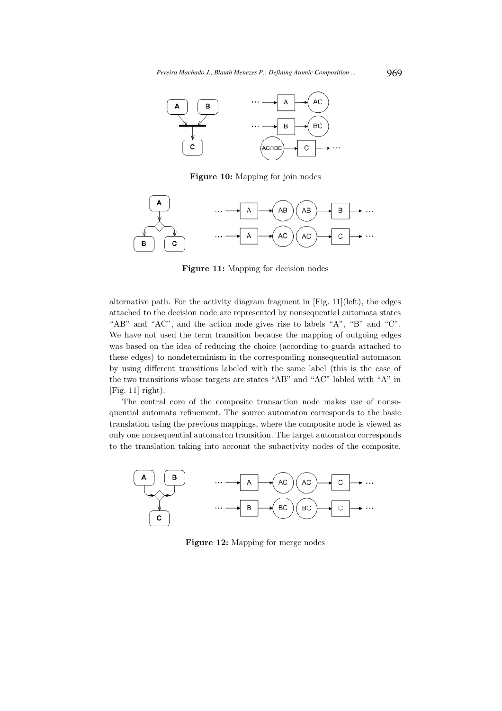

Figure 10: Mapping for join nodes



Figure 11: Mapping for decision nodes

alternative path. For the activity diagram fragment in [Fig. 11](left), the edges attached to the decision node are represented by nonsequential automata states "AB" and "AC", and the action node gives rise to labels "A", "B" and "C". We have not used the term transition because the mapping of outgoing edges was based on the idea of reducing the choice (according to guards attached to these edges) to nondeterminism in the corresponding nonsequential automaton by using different transitions labeled with the same label (this is the case of the two transitions whose targets are states "AB" and "AC" labled with "A" in  $[Fig. 11]$  right).

The central core of the composite transaction node makes use of nonsequential automata refinement. The source automaton corresponds to the basic translation using the previous mappings, where the composite node is viewed as only one nonsequential automaton transition. The target automaton corresponds to the translation taking into account the subactivity nodes of the composite.



Figure 12: Mapping for merge nodes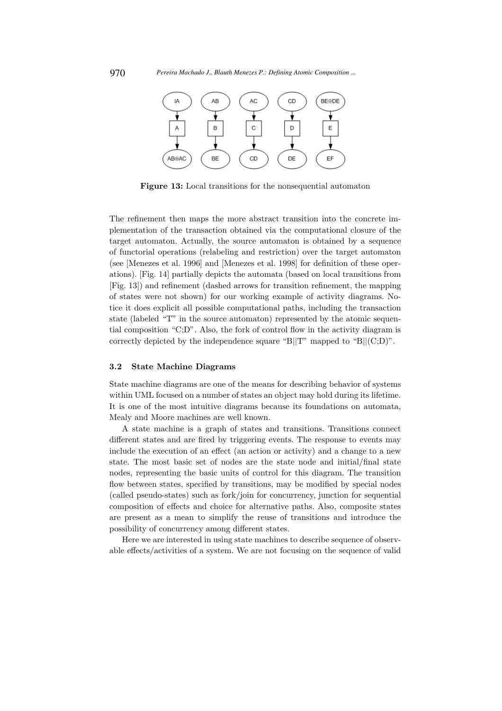

Figure 13: Local transitions for the nonsequential automaton

The refinement then maps the more abstract transition into the concrete implementation of the transaction obtained via the computational closure of the target automaton. Actually, the source automaton is obtained by a sequence of functorial operations (relabeling and restriction) over the target automaton (see [Menezes et al. 1996] and [Menezes et al. 1998] for definition of these operations). [Fig. 14] partially depicts the automata (based on local transitions from [Fig. 13]) and refinement (dashed arrows for transition refinement, the mapping of states were not shown) for our working example of activity diagrams. Notice it does explicit all possible computational paths, including the transaction state (labeled "T" in the source automaton) represented by the atomic sequential composition "C;D". Also, the fork of control flow in the activity diagram is correctly depicted by the independence square "B||T" mapped to "B|| $(C;D)$ ".

#### 3.2 State Machine Diagrams

State machine diagrams are one of the means for describing behavior of systems within UML focused on a number of states an object may hold during its lifetime. It is one of the most intuitive diagrams because its foundations on automata, Mealy and Moore machines are well known.

A state machine is a graph of states and transitions. Transitions connect different states and are fired by triggering events. The response to events may include the execution of an effect (an action or activity) and a change to a new state. The most basic set of nodes are the state node and initial/final state nodes, representing the basic units of control for this diagram. The transition flow between states, specified by transitions, may be modified by special nodes (called pseudo-states) such as fork/join for concurrency, junction for sequential composition of effects and choice for alternative paths. Also, composite states are present as a mean to simplify the reuse of transitions and introduce the possibility of concurrency among different states.

Here we are interested in using state machines to describe sequence of observable effects/activities of a system. We are not focusing on the sequence of valid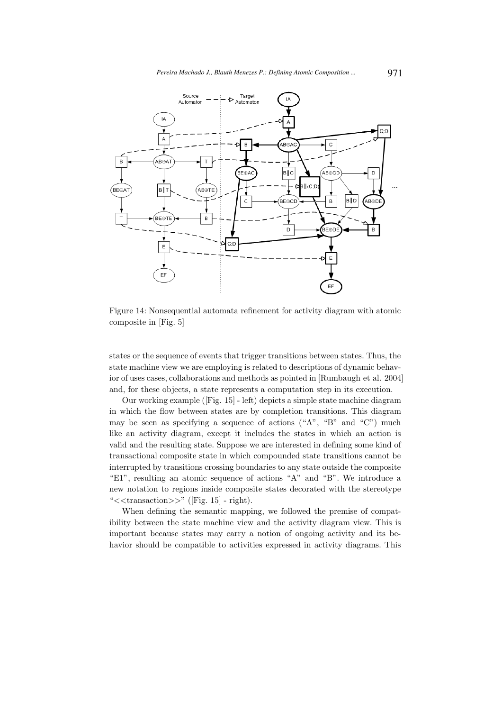

Figure 14: Nonsequential automata refinement for activity diagram with atomic composite in [Fig. 5]

states or the sequence of events that trigger transitions between states. Thus, the state machine view we are employing is related to descriptions of dynamic behavior of uses cases, collaborations and methods as pointed in [Rumbaugh et al. 2004] and, for these objects, a state represents a computation step in its execution.

Our working example ([Fig. 15] - left) depicts a simple state machine diagram in which the flow between states are by completion transitions. This diagram may be seen as specifying a sequence of actions ("A", "B" and "C") much like an activity diagram, except it includes the states in which an action is valid and the resulting state. Suppose we are interested in defining some kind of transactional composite state in which compounded state transitions cannot be interrupted by transitions crossing boundaries to any state outside the composite "E1", resulting an atomic sequence of actions "A" and "B". We introduce a new notation to regions inside composite states decorated with the stereotype " $<<$ transaction $>>$ " ([Fig. 15] - right).

When defining the semantic mapping, we followed the premise of compatibility between the state machine view and the activity diagram view. This is important because states may carry a notion of ongoing activity and its behavior should be compatible to activities expressed in activity diagrams. This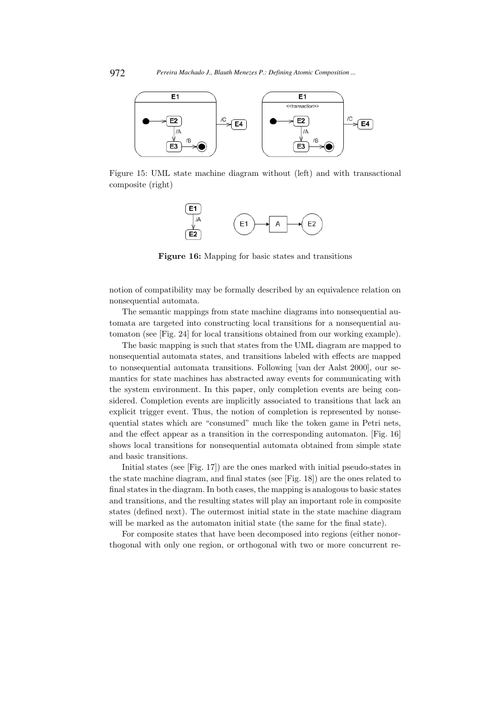

Figure 15: UML state machine diagram without (left) and with transactional composite (right)



Figure 16: Mapping for basic states and transitions

notion of compatibility may be formally described by an equivalence relation on nonsequential automata.

The semantic mappings from state machine diagrams into nonsequential automata are targeted into constructing local transitions for a nonsequential automaton (see [Fig. 24] for local transitions obtained from our working example).

The basic mapping is such that states from the UML diagram are mapped to nonsequential automata states, and transitions labeled with effects are mapped to nonsequential automata transitions. Following [van der Aalst 2000], our semantics for state machines has abstracted away events for communicating with the system environment. In this paper, only completion events are being considered. Completion events are implicitly associated to transitions that lack an explicit trigger event. Thus, the notion of completion is represented by nonsequential states which are "consumed" much like the token game in Petri nets, and the effect appear as a transition in the corresponding automaton. [Fig. 16] shows local transitions for nonsequential automata obtained from simple state and basic transitions.

Initial states (see [Fig. 17]) are the ones marked with initial pseudo-states in the state machine diagram, and final states (see [Fig. 18]) are the ones related to final states in the diagram. In both cases, the mapping is analogous to basic states and transitions, and the resulting states will play an important role in composite states (defined next). The outermost initial state in the state machine diagram will be marked as the automaton initial state (the same for the final state).

For composite states that have been decomposed into regions (either nonorthogonal with only one region, or orthogonal with two or more concurrent re-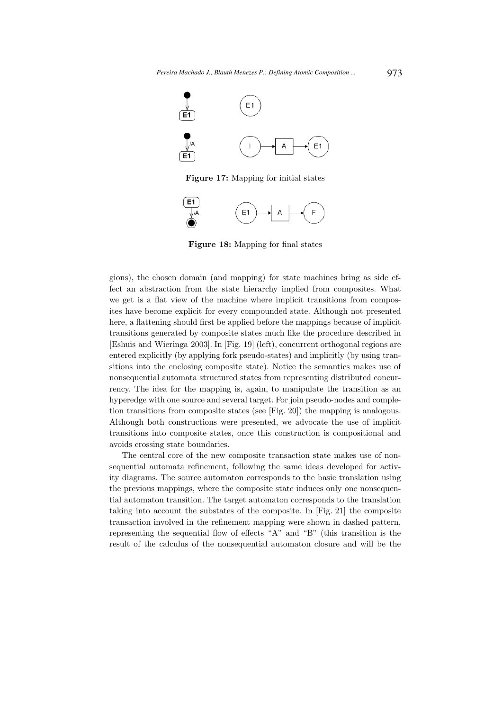

Figure 17: Mapping for initial states



Figure 18: Mapping for final states

gions), the chosen domain (and mapping) for state machines bring as side effect an abstraction from the state hierarchy implied from composites. What we get is a flat view of the machine where implicit transitions from composites have become explicit for every compounded state. Although not presented here, a flattening should first be applied before the mappings because of implicit transitions generated by composite states much like the procedure described in [Eshuis and Wieringa 2003]. In [Fig. 19] (left), concurrent orthogonal regions are entered explicitly (by applying fork pseudo-states) and implicitly (by using transitions into the enclosing composite state). Notice the semantics makes use of nonsequential automata structured states from representing distributed concurrency. The idea for the mapping is, again, to manipulate the transition as an hyperedge with one source and several target. For join pseudo-nodes and completion transitions from composite states (see [Fig. 20]) the mapping is analogous. Although both constructions were presented, we advocate the use of implicit transitions into composite states, once this construction is compositional and avoids crossing state boundaries.

The central core of the new composite transaction state makes use of nonsequential automata refinement, following the same ideas developed for activity diagrams. The source automaton corresponds to the basic translation using the previous mappings, where the composite state induces only one nonsequential automaton transition. The target automaton corresponds to the translation taking into account the substates of the composite. In [Fig. 21] the composite transaction involved in the refinement mapping were shown in dashed pattern, representing the sequential flow of effects "A" and "B" (this transition is the result of the calculus of the nonsequential automaton closure and will be the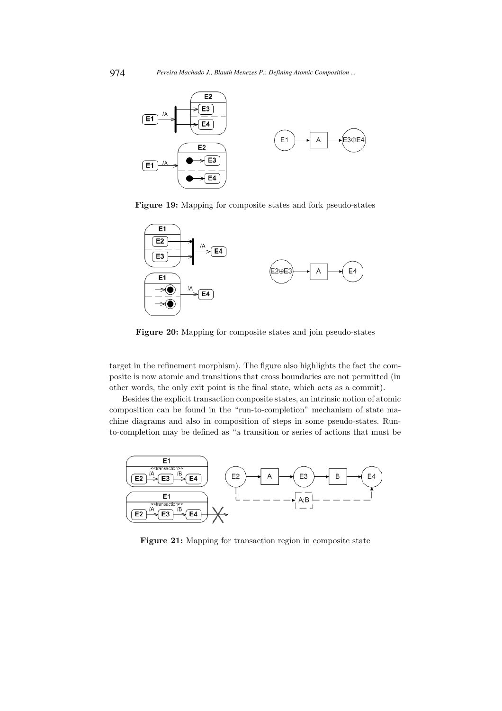

Figure 19: Mapping for composite states and fork pseudo-states



Figure 20: Mapping for composite states and join pseudo-states

target in the refinement morphism). The figure also highlights the fact the composite is now atomic and transitions that cross boundaries are not permitted (in other words, the only exit point is the final state, which acts as a commit).

Besides the explicit transaction composite states, an intrinsic notion of atomic composition can be found in the "run-to-completion" mechanism of state machine diagrams and also in composition of steps in some pseudo-states. Runto-completion may be defined as "a transition or series of actions that must be



Figure 21: Mapping for transaction region in composite state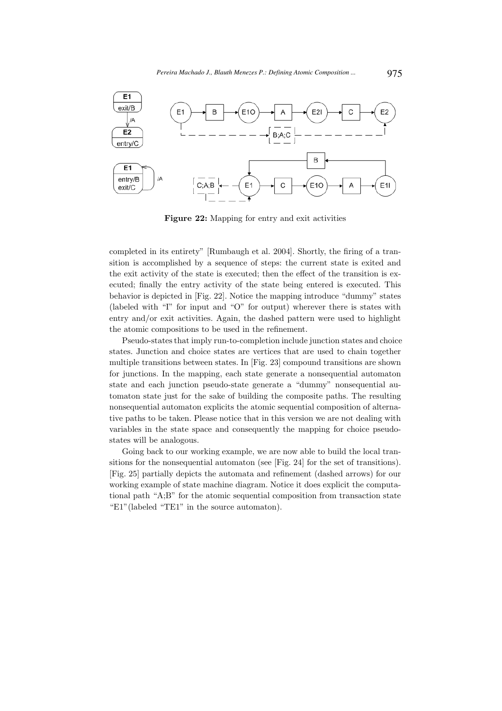

Figure 22: Mapping for entry and exit activities

completed in its entirety" [Rumbaugh et al. 2004]. Shortly, the firing of a transition is accomplished by a sequence of steps: the current state is exited and the exit activity of the state is executed; then the effect of the transition is executed; finally the entry activity of the state being entered is executed. This behavior is depicted in [Fig. 22]. Notice the mapping introduce "dummy" states (labeled with "I" for input and "O" for output) wherever there is states with entry and/or exit activities. Again, the dashed pattern were used to highlight the atomic compositions to be used in the refinement.

Pseudo-states that imply run-to-completion include junction states and choice states. Junction and choice states are vertices that are used to chain together multiple transitions between states. In [Fig. 23] compound transitions are shown for junctions. In the mapping, each state generate a nonsequential automaton state and each junction pseudo-state generate a "dummy" nonsequential automaton state just for the sake of building the composite paths. The resulting nonsequential automaton explicits the atomic sequential composition of alternative paths to be taken. Please notice that in this version we are not dealing with variables in the state space and consequently the mapping for choice pseudostates will be analogous.

Going back to our working example, we are now able to build the local transitions for the nonsequential automaton (see [Fig. 24] for the set of transitions). [Fig. 25] partially depicts the automata and refinement (dashed arrows) for our working example of state machine diagram. Notice it does explicit the computational path "A;B" for the atomic sequential composition from transaction state "E1"(labeled "TE1" in the source automaton).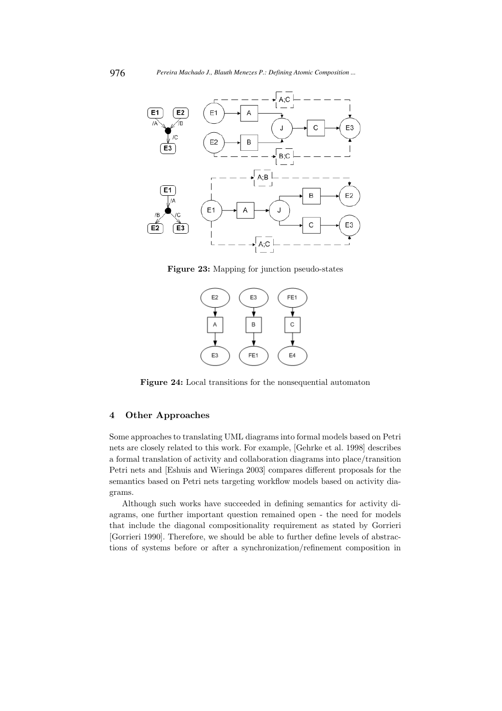

Figure 23: Mapping for junction pseudo-states



Figure 24: Local transitions for the nonsequential automaton

## 4 Other Approaches

Some approachesto translating UML diagrams into formal models based on Petri nets are closely related to this work. For example, [Gehrke et al. 1998] describes a formal translation of activity and collaboration diagrams into place/transition Petri nets and [Eshuis and Wieringa 2003] compares different proposals for the semantics based on Petri nets targeting workflow models based on activity diagrams.

Although such works have succeeded in defining semantics for activity diagrams, one further important question remained open - the need for models that include the diagonal compositionality requirement as stated by Gorrieri [Gorrieri 1990]. Therefore, we should be able to further define levels of abstractions of systems before or after a synchronization/refinement composition in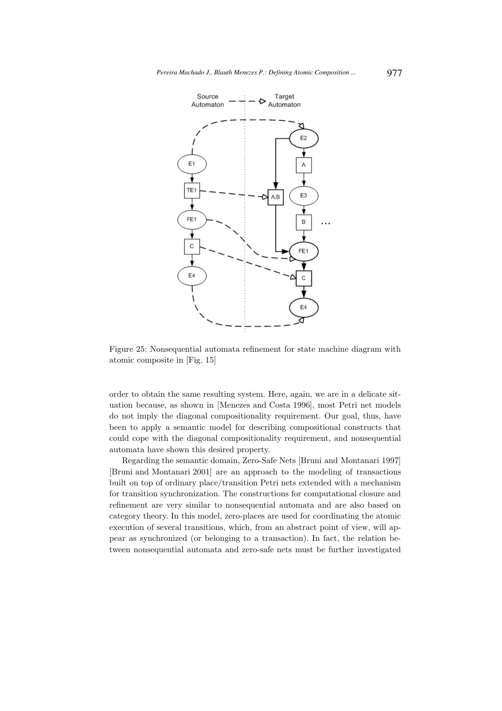

Figure 25: Nonsequential automata refinement for state machine diagram with atomic composite in [Fig. 15]

order to obtain the same resulting system. Here, again, we are in a delicate situation because, as shown in [Menezes and Costa 1996], most Petri net models do not imply the diagonal compositionality requirement. Our goal, thus, have been to apply a semantic model for describing compositional constructs that could cope with the diagonal compositionality requirement, and nonsequential automata have shown this desired property.

Regarding the semantic domain, Zero-Safe Nets [Bruni and Montanari 1997] [Bruni and Montanari 2001] are an approach to the modeling of transactions built on top of ordinary place/transition Petri nets extended with a mechanism for transition synchronization. The constructions for computational closure and refinement are very similar to nonsequential automata and are also based on category theory. In this model, zero-places are used for coordinating the atomic execution of several transitions, which, from an abstract point of view, will appear as synchronized (or belonging to a transaction). In fact, the relation between nonsequential automata and zero-safe nets must be further investigated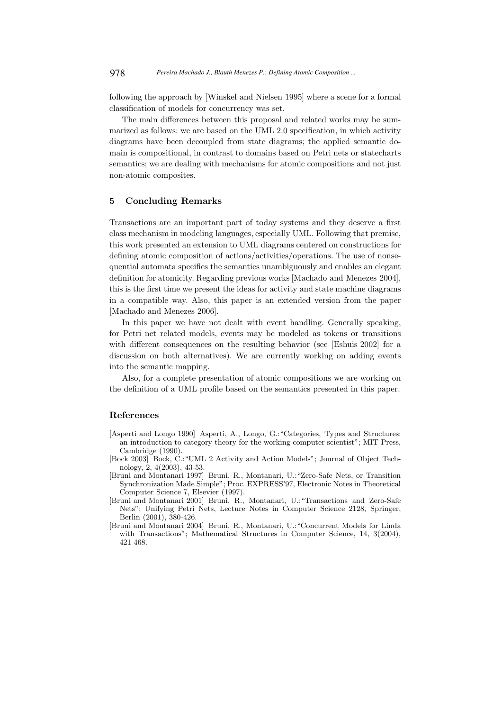following the approach by [Winskel and Nielsen 1995] where a scene for a formal classification of models for concurrency was set.

The main differences between this proposal and related works may be summarized as follows: we are based on the UML 2.0 specification, in which activity diagrams have been decoupled from state diagrams; the applied semantic domain is compositional, in contrast to domains based on Petri nets or statecharts semantics; we are dealing with mechanisms for atomic compositions and not just non-atomic composites.

### 5 Concluding Remarks

Transactions are an important part of today systems and they deserve a first class mechanism in modeling languages, especially UML. Following that premise, this work presented an extension to UML diagrams centered on constructions for defining atomic composition of actions/activities/operations. The use of nonsequential automata specifies the semantics unambiguously and enables an elegant definition for atomicity. Regarding previous works [Machado and Menezes 2004], this is the first time we present the ideas for activity and state machine diagrams in a compatible way. Also, this paper is an extended version from the paper [Machado and Menezes 2006].

In this paper we have not dealt with event handling. Generally speaking, for Petri net related models, events may be modeled as tokens or transitions with different consequences on the resulting behavior (see [Eshuis 2002] for a discussion on both alternatives). We are currently working on adding events into the semantic mapping.

Also, for a complete presentation of atomic compositions we are working on the definition of a UML profile based on the semantics presented in this paper.

#### References

- [Asperti and Longo 1990] Asperti, A., Longo, G.:"Categories, Types and Structures: an introduction to category theory for the working computer scientist"; MIT Press, Cambridge (1990).
- [Bock 2003] Bock, C.:"UML 2 Activity and Action Models"; Journal of Object Technology, 2, 4(2003), 43-53.
- [Bruni and Montanari 1997] Bruni, R., Montanari, U.:"Zero-Safe Nets, or Transition Synchronization Made Simple"; Proc. EXPRESS'97, Electronic Notes in Theoretical Computer Science 7, Elsevier (1997).
- [Bruni and Montanari 2001] Bruni, R., Montanari, U.:"Transactions and Zero-Safe Nets"; Unifying Petri Nets, Lecture Notes in Computer Science 2128, Springer, Berlin (2001), 380-426.
- [Bruni and Montanari 2004] Bruni, R., Montanari, U.:"Concurrent Models for Linda with Transactions"; Mathematical Structures in Computer Science, 14, 3(2004), 421-468.